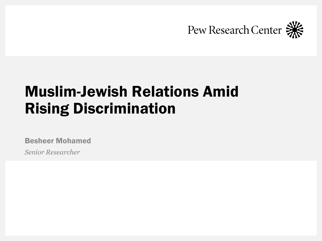

# Muslim-Jewish Relations Amid Rising Discrimination

Besheer Mohamed

*Senior Researcher*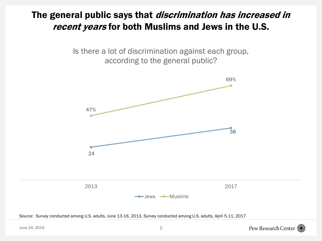### The general public says that *discrimination has increased in* recent years for both Muslims and Jews in the U.S.

Is there a lot of discrimination against each group, according to the general public?



Source: Survey conducted among U.S. adults, June 13-16, 2013. Survey conducted among U.S. adults, April 5-11, 2017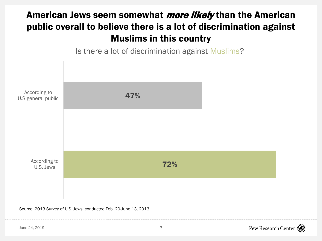## American Jews seem somewhat *more likely* than the American public overall to believe there is a lot of discrimination against Muslims in this country





Source: 2013 Survey of U.S. Jews, conducted Feb. 20-June 13, 2013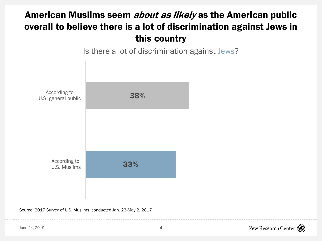### American Muslims seem *about as likely* as the American public overall to believe there is a lot of discrimination against Jews in this country



Is there a lot of discrimination against Jews?

Source: 2017 Survey of U.S. Muslims, conducted Jan. 23-May 2, 2017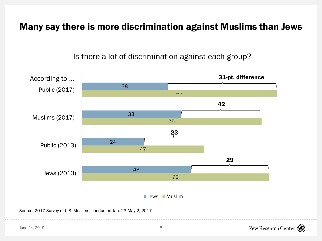#### Many say there is more discrimination against Muslims than Jews

72 47 75 69 43 24 33 38 Jews (2013) Public (2013) Muslims (2017) Public (2017)  $\blacksquare$  Jews  $\blacksquare$  Muslim 31-pt. difference 42 23 29 According to …

Is there a lot of discrimination against each group?

Source: 2017 Survey of U.S. Muslims, conducted Jan. 23-May 2, 2017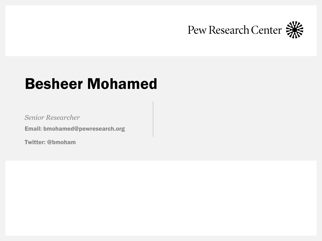

## Besheer Mohamed

*Senior Researcher*

Email: bmohamed@pewresearch.org

Twitter: @bmoham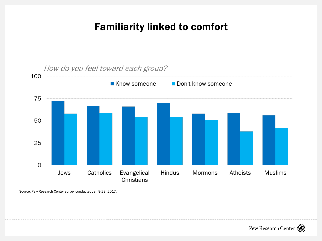## Familiarity linked to comfort



How do you feel toward each group?

Source: Pew Research Center survey conducted Jan 9-23, 2017.